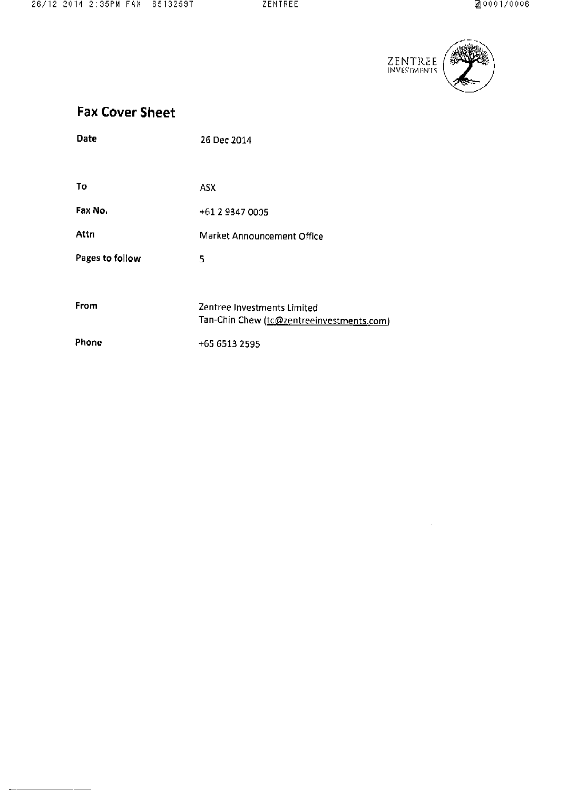

 $\mathcal{L}^{\text{max}}_{\text{max}}$  and  $\mathcal{L}^{\text{max}}_{\text{max}}$ 

# Fax Cover Sheet

| Date            | 26 Dec 2014                                                              |
|-----------------|--------------------------------------------------------------------------|
|                 |                                                                          |
| Tо              | ASX.                                                                     |
| Fax No.         | +61 2 9347 0005                                                          |
| Attn            | Market Announcement Office                                               |
| Pages to follow | 5                                                                        |
|                 |                                                                          |
| From            | Zentree Investments Limited<br>Tan-Chin Chew (tc@zentreeinvestments.com) |
| Phone           | +65 6513 2595                                                            |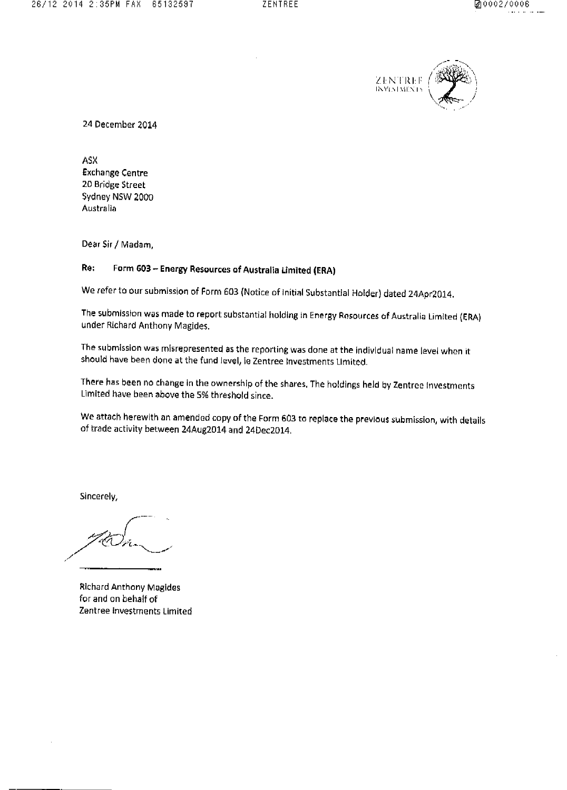

24 December 2014

**ASX** Exchange Centre 20 Bridge Street Sydney NSW 2000 Australia

Dear Sir / Madam,

#### Re: Form 603 - Energy Resources of Australia Limited (ERA)

We refer to our submission of Form 603 (Notice of Initial Substantial Holder) dated 24Apr2014.

The submission was made to report substantial holding in Energy Rosources of Australia Limited (ERA) under Michard Anthony Magides.

The submission was misrepresented as the reporting was done at the individual name level when it should have been done at the fund level, ie Zentree Investments Limited.

There has been no change in the ownership of the shares, The holdings held by Zentree Investments Limited have been above the 5% threshold since.

We attach herewith an amended copy of the Form 603 to replace the previous submission, with details of trade activity between 24Aug2014 and 24Dec2014,

Sincerely,

**Richard Anthony Magides** for and on behalf of Zentree Investments Limited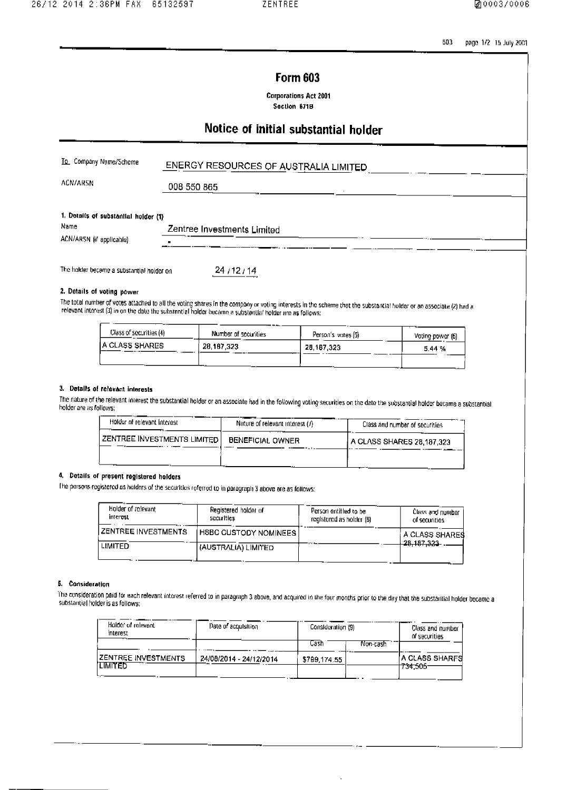503 page 1/2 15 July 2001

### **Form 603**

**Corporations Act 2001** Soction 671B

## Notice of initial substantial holder

| To Company Name/Scheme                       | ENERGY RESOURCES OF AUSTRALIA LIMITED |
|----------------------------------------------|---------------------------------------|
| <b>ACN/ARSN</b>                              | 008 550 865                           |
| 1. Dotails of substantial holder (1)<br>Name | Zentree Investments Limited           |
| ACN/ARSN (if applicable)                     |                                       |
| The holder became a substantial holder on    | 24/12/14                              |
| 2. Details of voting power                   |                                       |
|                                              |                                       |

The total number of votes attached to all the voting shares in the company or voting interests in the scheme that the substantial holder or an associate (2) had a<br>relevant interest (3) in on the date the substantial holder

| Class of securities (4) | ____<br>Number of securities | Person's votes (5) | Voting power (6) |
|-------------------------|------------------------------|--------------------|------------------|
| IA CLASS SHARES         | 28.187 323                   | 28, 187, 323       | 5.44 %           |
|                         |                              |                    |                  |

#### 3. Details of relevant interests

The nature of the relevant interest the substantial holder or an associate had in the following voting securities on the date the substantial holder became a substantial holdor are as follows:

| Holder of relevant interest.             | Nature of relevant interest (/) | Class and number of securities |
|------------------------------------------|---------------------------------|--------------------------------|
| ZENTREE INVESTMENTS LIMITED <sup>1</sup> | <b>BENEFICIAL OWNER</b>         | A CLASS SHARES 28,187,323      |
|                                          |                                 |                                |

#### 4. Details of present registered holders

The persons registered as holders of the securities referred to in paragraph 3 above are as follows:

| Holder of rolevant<br>interest | Registered holder of<br>securities | Person entitled to be<br>registered as holder (B) | Class and number<br>of securities          |
|--------------------------------|------------------------------------|---------------------------------------------------|--------------------------------------------|
| I ZENTREE INVESTMENTS          | I HSBC CUSTODY NOMINEES I          |                                                   | A CLASS SHARES<br><del>- 28. 187.323</del> |
| <b>LIMITED</b>                 | (AUSTRALIA) LIMITED                |                                                   |                                            |

#### 5. Consideration

The consideration paid for each relevant interest referred to in paragraph 3 above, and acquired in the four months prior to the day that the substantial holder became a substantial holder is as follows:

| Holder of relevant<br>interest | Date of acquisition     | Consideration (9)   |           | Class and number<br>of securities |
|--------------------------------|-------------------------|---------------------|-----------|-----------------------------------|
| <b>IZENTREE INVESTMENTS</b>    | 24/08/2014 - 24/12/2014 | Cash<br>5799,174.55 | Non-cash. | <b>A CLASS SHARFS</b>             |
| <b>ITMITED</b>                 |                         |                     |           | 734.505                           |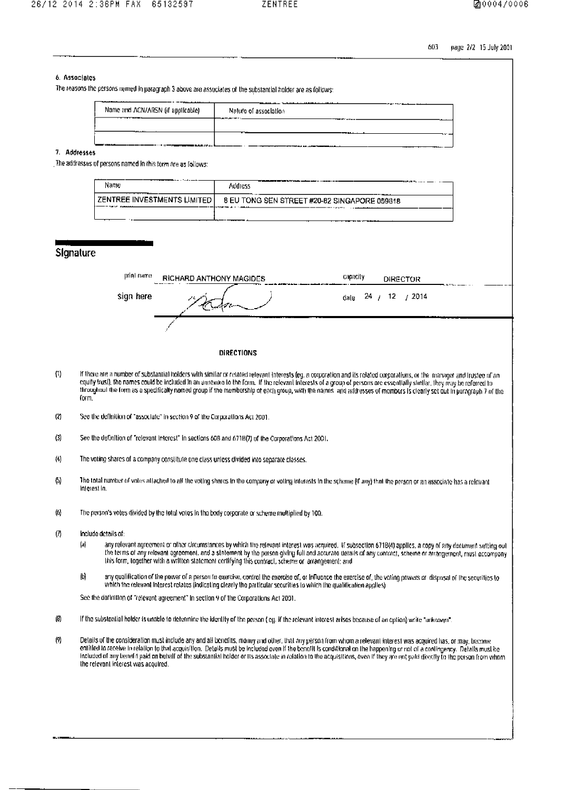603 page 2/2 15 July 2001

| 6. Associates       |                                                                              |                             |                                                                                                             |                                                                                                                                                                                                                                                                                                                                                                                                                                                                                                                                |  |
|---------------------|------------------------------------------------------------------------------|-----------------------------|-------------------------------------------------------------------------------------------------------------|--------------------------------------------------------------------------------------------------------------------------------------------------------------------------------------------------------------------------------------------------------------------------------------------------------------------------------------------------------------------------------------------------------------------------------------------------------------------------------------------------------------------------------|--|
|                     |                                                                              |                             | The reasons the persons named in paragraph 3 above are associates of the substantial holder are as follows: |                                                                                                                                                                                                                                                                                                                                                                                                                                                                                                                                |  |
|                     | Name and ACN/ARSN (if applicable)                                            |                             | Naturo of association                                                                                       |                                                                                                                                                                                                                                                                                                                                                                                                                                                                                                                                |  |
|                     |                                                                              |                             |                                                                                                             |                                                                                                                                                                                                                                                                                                                                                                                                                                                                                                                                |  |
| 7. Addresses        |                                                                              |                             |                                                                                                             |                                                                                                                                                                                                                                                                                                                                                                                                                                                                                                                                |  |
|                     | The addresses of persons named in this torm are as follows:                  |                             |                                                                                                             |                                                                                                                                                                                                                                                                                                                                                                                                                                                                                                                                |  |
|                     | Name                                                                         |                             | <b>Address</b>                                                                                              |                                                                                                                                                                                                                                                                                                                                                                                                                                                                                                                                |  |
|                     |                                                                              | ZENTREE INVESTMENTS LIMITED |                                                                                                             | 8 EU TONG SEN STREET #20-82 SINGAPORE 059818                                                                                                                                                                                                                                                                                                                                                                                                                                                                                   |  |
|                     |                                                                              |                             |                                                                                                             |                                                                                                                                                                                                                                                                                                                                                                                                                                                                                                                                |  |
|                     |                                                                              |                             |                                                                                                             |                                                                                                                                                                                                                                                                                                                                                                                                                                                                                                                                |  |
| Signature           |                                                                              |                             |                                                                                                             |                                                                                                                                                                                                                                                                                                                                                                                                                                                                                                                                |  |
|                     |                                                                              |                             |                                                                                                             |                                                                                                                                                                                                                                                                                                                                                                                                                                                                                                                                |  |
|                     | print name                                                                   | RICHARD ANTHONY MAGIDES     |                                                                                                             | <b>Gapacity</b><br><b>DIRECTOR</b>                                                                                                                                                                                                                                                                                                                                                                                                                                                                                             |  |
|                     | sign here                                                                    |                             |                                                                                                             | 24 / 12<br>/ 2014<br>date.                                                                                                                                                                                                                                                                                                                                                                                                                                                                                                     |  |
|                     |                                                                              |                             |                                                                                                             |                                                                                                                                                                                                                                                                                                                                                                                                                                                                                                                                |  |
|                     |                                                                              |                             |                                                                                                             |                                                                                                                                                                                                                                                                                                                                                                                                                                                                                                                                |  |
|                     |                                                                              |                             | DIRECTIONS                                                                                                  |                                                                                                                                                                                                                                                                                                                                                                                                                                                                                                                                |  |
| $\langle 1 \rangle$ | form.                                                                        |                             |                                                                                                             | If there are a number of substantial holders with similar or related relevant interests (eg. a corporation and its related corporations, or the manager and trustee of an<br>equity trust), the names could be included in an amosure to the form. If the relevant interests of a group of persons are essentially similar, they may be referred to<br>throughout the form as a specifically named group if the membership of each group, with the names and addresses of members is clearly set out in paragraph 7 of the     |  |
| (2)                 | See the definition of "associate" in section 9 of the Corporations Act 2001. |                             |                                                                                                             |                                                                                                                                                                                                                                                                                                                                                                                                                                                                                                                                |  |
| (3)                 |                                                                              |                             | See the definition of "relevant interest" in sections 608 and 671B(7) of the Corporations Act 2001.         |                                                                                                                                                                                                                                                                                                                                                                                                                                                                                                                                |  |
| (4)                 |                                                                              |                             | The voting shares of a company constitute one class unless divided into separate classes.                   |                                                                                                                                                                                                                                                                                                                                                                                                                                                                                                                                |  |
| $\langle 5 \rangle$ | Interest in:                                                                 |                             |                                                                                                             | The total number of votes attached to all the voting shares in the company or voting interests in the scheme (if any) that the person or an associate has a relevant                                                                                                                                                                                                                                                                                                                                                           |  |
| $\langle 0 \rangle$ |                                                                              |                             | The person's votes divided by the total votes in the body corporate or scheme multiplied by 100.            |                                                                                                                                                                                                                                                                                                                                                                                                                                                                                                                                |  |
| (7)                 | Include details of:<br>(a)                                                   |                             | this form, together with a written statement cortifying this contract, scheme or arrangement; and           | any relevant agreement or other circumstances by which the relevant interest was acquired. If subsection 671B(4) applies, a copy of any document setting out<br>the terms of any relevant agreement, and a statement by the person giving full and accurate details of any contract, scheme or arrangement, must accompany                                                                                                                                                                                                     |  |
|                     | (b)                                                                          |                             |                                                                                                             | any qualification of the power of a person to exercise, control the exercise of, or influence the exercise of, the voting powers or disposal of the securities to<br>which the relevant interest relates (indicating clearly the particular securities to which the qualification applies)                                                                                                                                                                                                                                     |  |
|                     |                                                                              |                             | See the definition of "relevant agreement" in section 9 of the Corporations Act 2001.                       |                                                                                                                                                                                                                                                                                                                                                                                                                                                                                                                                |  |
| (8)                 |                                                                              |                             |                                                                                                             | If the substantial holder is unable to determine the identity of the person (eg. if the relevant interest arisos because of an option) write "unknown".                                                                                                                                                                                                                                                                                                                                                                        |  |
| (9)                 | the relevant interest was acoulred.                                          |                             |                                                                                                             | Details of the consideration must include any and all benefits, money and other, that any person from whom a relevant interest was acquired has, or may, bacome<br>entitled to receive in relation to that acquisition. Details must be included even if the benefit is conditional on the happening or not of a contingency. Details must be<br>Included of any benefit paid on behalf of the substantial holder or its associate in relation to the acquisitions, even if they are not paid directly to the person from whom |  |
|                     |                                                                              |                             |                                                                                                             |                                                                                                                                                                                                                                                                                                                                                                                                                                                                                                                                |  |
|                     |                                                                              |                             |                                                                                                             |                                                                                                                                                                                                                                                                                                                                                                                                                                                                                                                                |  |
|                     |                                                                              |                             |                                                                                                             |                                                                                                                                                                                                                                                                                                                                                                                                                                                                                                                                |  |
|                     |                                                                              |                             |                                                                                                             |                                                                                                                                                                                                                                                                                                                                                                                                                                                                                                                                |  |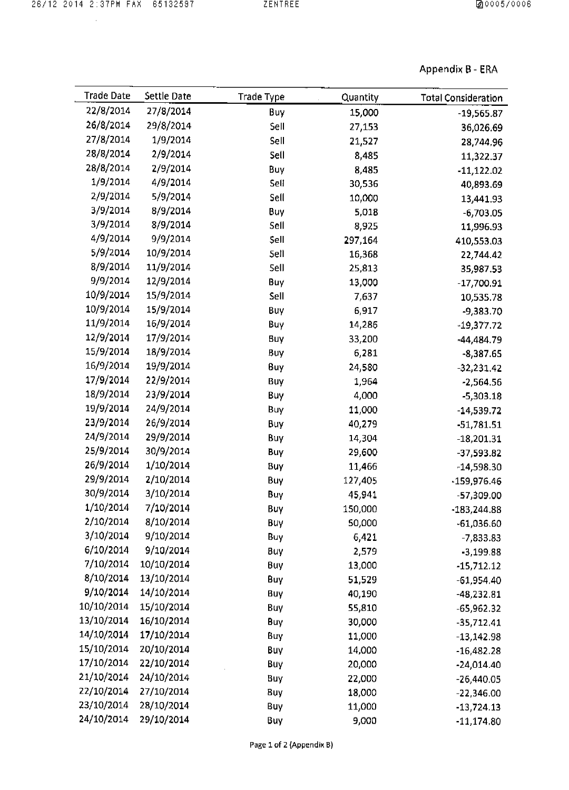$\bar{z}$ 

### Appendix 8 -ERA

| <b>Trade Date</b> | Settle Date | <b>Trade Type</b> | Quantity | <b>Total Consideration</b> |
|-------------------|-------------|-------------------|----------|----------------------------|
| 22/8/2014         | 27/8/2014   | Buy               | 15,000   | $-19,565.87$               |
| 26/8/2014         | 29/8/2014   | Sell              | 27,153   | 36,026.69                  |
| 27/8/2014         | 1/9/2014    | Sell              | 21,527   | 28,744.96                  |
| 28/8/2014         | 2/9/2014    | Sell              | 8,485    | 11,322.37                  |
| 28/8/2014         | 2/9/2014    | Buy               | 8,485    | $-11,122.02$               |
| 1/9/2014          | 4/9/2014    | Sell              | 30,536   | 40,893.69                  |
| 2/9/2014          | 5/9/2014    | Sell              | 10,000   | 13,441.93                  |
| 3/9/2014          | 8/9/2014    | Buy               | 5,018    | $-6,703.05$                |
| 3/9/2014          | 8/9/2014    | Sell              | 8,925    | 11,996.93                  |
| 4/9/2014          | 9/9/2014    | <b>Sell</b>       | 297,164  | 410,553.03                 |
| 5/9/2014          | 10/9/2014   | <b>Sell</b>       | 16,368   | 22,744.42                  |
| 8/9/2014          | 11/9/2014   | Sell              | 25,813   | 35,987.53                  |
| 9/9/2014          | 12/9/2014   | Buy               | 13,000   | $-17,700.91$               |
| 10/9/2014         | 15/9/2014   | Sell              | 7,637    | 10,535.78                  |
| 10/9/2014         | 15/9/2014   | Buy               | 6,917    | -9,383.70                  |
| 11/9/2014         | 16/9/2014   | Buy               | 14,286   | $-19,377.72$               |
| 12/9/2014         | 17/9/2014   | Buy               | 33,200   | -44,484.79                 |
| 15/9/2014         | 18/9/2014   | Buy               | 6,281    | $-8,387.65$                |
| 16/9/2014         | 19/9/2014   | Buy               | 24,580   | $-32,231.42$               |
| 17/9/2014         | 22/9/2014   | Buy               | 1,964    | $-2,564.56$                |
| 18/9/2014         | 23/9/2014   | Buy               | 4,000    | $-5,303.18$                |
| 19/9/2014         | 24/9/2014   | Buy               | 11,000   | $-14,539.72$               |
| 23/9/2014         | 26/9/2014   | Buy               | 40,279   | $-51,781.51$               |
| 24/9/2014         | 29/9/2014   | Buy               | 14,304   | $-18,201.31$               |
| 25/9/2014         | 30/9/2014   | Buy               | 29,600   | $-37,593.82$               |
| 26/9/2014         | 1/10/2014   | Buy               | 11,466   | $-14,598.30$               |
| 29/9/2014         | 2/10/2014   | Buy               | 127,405  | -159,976.46                |
| 30/9/2014         | 3/10/2014   | Buy               | 45,941   | -57,309.00                 |
| 1/10/2014         | 7/10/2014   | Buy               | 150,000  | $-183,244.88$              |
| 2/10/2014         | 8/10/2014   | Buy               | 50,000   | $-61,036.60$               |
| 3/10/2014         | 9/10/2014   | Buy               | 6,421    | $-7,833.83$                |
| 6/10/2014         | 9/10/2014   | Buy               | 2,579    | $-3,199.88$                |
| 7/10/2014         | 10/10/2014  | Buy               | 13,000   | $-15,712.12$               |
| 8/10/2014         | 13/10/2014  | Buy               | 51,529   | $-61,954,40$               |
| 9/10/2014         | 14/10/2014  | Buy               | 40,190   | $-48,232.81$               |
| 10/10/2014        | 15/10/2014  | Buy               | 55,810   | $-65,962.32$               |
| 13/10/2014        | 16/10/2014  | Buy               | 30,000   | $-35,712.41$               |
| 14/10/2014        | 17/10/2014  | Buy               | 11,000   | $-13,142.98$               |
| 15/10/2014        | 20/10/2014  | Buy               | 14,000   | $-16,482.28$               |
| 17/10/2014        | 22/10/2014  | Buy               | 20,000   | $-24,014.40$               |
| 21/10/2014        | 24/10/2014  | Buy               | 22,000   | $-26,440.05$               |
| 22/10/2014        | 27/10/2014  | Buy               | 18,000   | $-22,346.00$               |
| 23/10/2014        | 28/10/2014  | Buy               | 11,000   | $-13,724$ 13               |
| 24/10/2014        | 29/10/2014  | <b>Buy</b>        | 9,000    |                            |
|                   |             |                   |          | $-11,174.80$               |